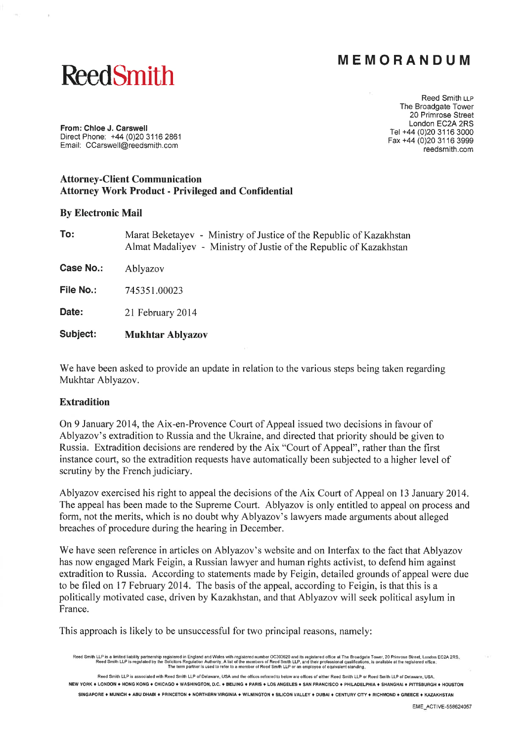# MEMORANDUM

# ReedSmith

Reed Smith u-p The Broadgate Tower 20 Primrose Street London EC2A 2RS Tet +44 (0)20 31 16 3000 Fax+44 (0)20 31 16 3999 reedsmith.com

From: Chloe J. Carswell Direct Phone: +44 (0)20 3116 2861 Email. CCarswell@reedsmith.com

## Attorney-Client Communication Attorney Work Product - Privileged and Confidential

#### By Electronic Mail

| To: | Marat Beketayev - Ministry of Justice of the Republic of Kazakhstan |
|-----|---------------------------------------------------------------------|
|     | Almat Madaliyev - Ministry of Justie of the Republic of Kazakhstan  |

Case No.: Ablyazov

File No.: 745351.00023

Date: 21 February 2014

Subject: Mukhtar Ablyazov

We have been asked to provide an update in relation to the various steps being taken regarding Mukhtar Ablyazov.

#### Extradition

On 9 January 2014, the Aix-en-Provence Court of Appeal issued two decisions in favour of Ablyazov's extradition to Russia and the Ukraine, and directed that priority should be given to Russia. Extradition decisions are rendered by the Aix "Court of Appeal", rather than the first instance court, so the extradition requests have automatically been subjected to a higher level of scrutiny by the French judiciary.

Ablyazov exercised his right to appeal the decisions of the Aix Court of Appeal on l3 January 2014. The appeal has been made to the Supreme Court. Ablyazov is only entitled to appeal on process and form, not the merits, which is no doubt why Ablyazov's lawyers made arguments about alleged breaches of procedure during the hearing in December.

We have seen reference in articles on Ablyazov's website and on Interfax to the fact that Ablyazov has now engaged Mark Feigin, a Russian lawyer and human rights activist, to defend him against extradition to Russia. According to statements made by Feigin, detailed grounds of appeal were due to be filed on 17 February 2014. The basis of the appeal, according to Feigin, is that this is a politically motivated case, driven by Kazakhstan, and that Ablyazov will seek political asylum in France.

This approach is likely to be unsuccessful for two principal reasons, namely:

Reed Smith LLP is a limited liability partnership registered in England and Wales with registered number OC303620 and its registered office at The Broadgate Tower, 20 Primrose Street, London EC2A 2RS. Reed Smith LLP is regulated by the Solicitors Regulation Authority. A list of the members of Reed Smith LLP, and their professional qualification<br>The term partner is used to refer to a member of Reed Smith LLP or an emplo ions, is available at the registered office

Reed Smith LLP is associaled with Reed Smith LLP of Delaware, USA and the offices referred to below are offices of either Reed Smith LLP or Reed Smith LLP of Delaware, USA NEW YORK ♦ LONDON ♦ HONG KONG ♦ CHICAGO ♦ WASHINGTON, D.C. ♦ BEIJING ♦ PARIS ♦ LOS ANGELES ♦ SAN FRANCISCO ♦ PHILADELPHIA ♦ SHANGHAI ♦ PITTSBURGH ♦ HOUSTON .<br>SINGAPORE ♦ MUNICH ♦ ABU DHABI ♦ PRINCETON ♦ NORTHERN VIRGINIA ♦ WILMINGTON ♦ SILICON VALLEY ♦ DUBAI ♦ CENTURY CITY ♦ RICHMOND ♦ GREECE ♦ KAZAKH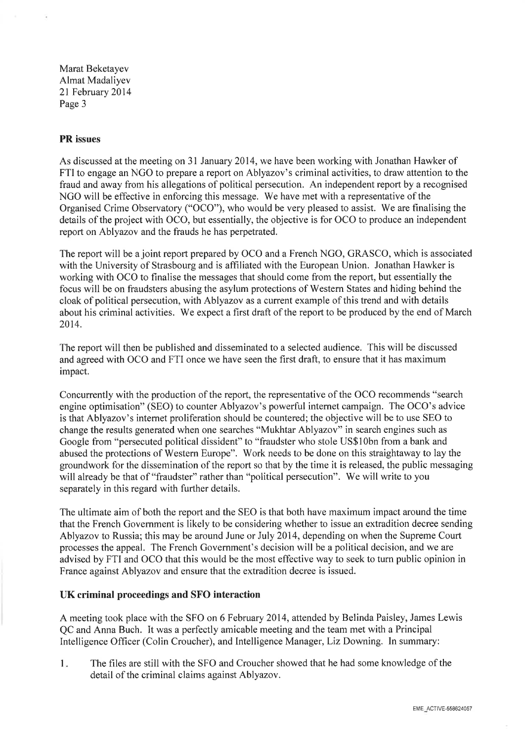Marat Beketayev Almat Madaliyev 2l February 2014 Page 3

#### PR issues

As discussed at the meeting on 3l January 2014, we have been working with Jonathan Hawker of FTI to engage an NGO to prepare a report on Ablyazov's criminal activities, to draw attention to the fraud and away from his allegations of political persecution. An independent report by a recognised NGO will be effective in enforcing this message. We have met with a representative of the Organised Crime Observatory ("OCO"), who would be very pleased to assist. We are finalising the details of the project with OCO, but essentially, the objective is for OCO to produce an independent report on Ablyazov and the frauds he has perpetrated.

The report will be a joint report prepared by OCO and a French NGO, GRASCO, which is associated with the University of Strasbourg and is affiliated with the European Union. Jonathan Hawker is working with OCO to finalise the messages that should come from the report, but essentially the focus will be on fraudsters abusing the asylum protections of Western States and hiding behind the cloak of political persecution, with Ablyazov as a current example of this trend and with details about his criminal activities. We expect a first draft of the report to be produced by the end of March 2014.

The report will then be published and disseminated to a selected audience. This will be discussed and agreed with OCO and FTI once we have seen the first draft, to ensure that it has maximum impact.

Concurrently with the production of the report, the representative of the OCO recommends "search engine optimisation" (SEO) to counter Ablyazov's powerful internet campaign. The OCO's advice is that Ablyazov's internet proliferation should be countered; the objective will be to use SEO to change the results generated when one searches "Mukhtar Ablyazov" in search engines such as Google from "persecuted political dissident" to "fraudster who stole US\$1Obn from a bank and abused the protections of Western Europe". Work needs to be done on this straightaway to lay the groundwork for the dissemination of the report so that by the time it is released, the public messaging will already be that of "fraudster" rather than "political persecution". We will write to you separately in this regard with further details.

The ultimate aim of both the report and the SEO is that both have maximum impact around the time that the French Government is likely to be considering whether to issue an extradition decree sending Ablyazov to Russia; this may be around June or July 2014, depending on when the Supreme Court processes the appeal. The French Government's decision will be a political decision, and we are advised by FTI and OCO that this would be the most effective way to seek to turn public opinion in France against Ablyazov and ensure that the extradition decree is issued.

## UK criminal proceedings and SFO interaction

A meeting took place with the SFO on 6 February 2014, attended by Belinda Paisley, James Lewis QC and Anna Buch. It was a perfectly amicable meeting and the team met with a Principal Intelligence Officer (Colin Croucher), and Intelligence Manager, Liz Downing. In summary:

The files are still with the SFO and Croucher showed that he had some knowledge of the detail of the criminal claims against Ablyazov.  $1<sub>1</sub>$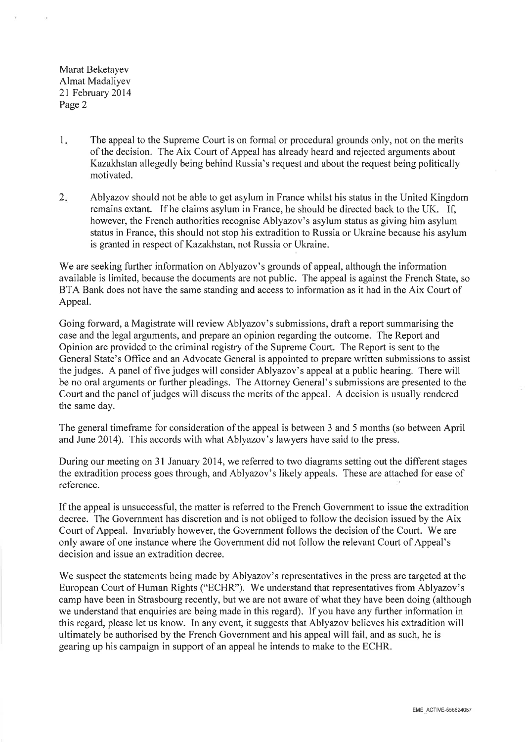Marat Beketayev Almat Madaliyev 2l February 2014 Page 2

- $1<sub>1</sub>$ The appeal to the Supreme Court is on formal or procedural grounds only, not on the merits of the decision. The Aix Court of Appeal has already heard and rejected arguments about Kazakhstan allegedly being behind Russia's request and about the request being politically motivated.
- $2.$ Ablyazov should not be able to get asylum in France whilst his status in the United Kingdom remains extant. If he claims asylum in France, he should be directed back to the UK. If, however, the French authorities recognise Ablyazov's asylum status as giving him asylum status in France, this should not stop his extradition to Russia or Ukraine because his asylum is granted in respect of Kazakhstan, not Russia or Ukraine.

We are seeking further information on Ablyazov's grounds of appeal, although the information available is limited, because the documents are not public. The appeal is against the French State, so BTA Bank does not have the same standing and access to information as it had in the Aix Court of Appeal.

Going forward, a Magistrate will review Ablyazov's submissions, draft a report summarising the case and the legal arguments, and prepare an opinion regarding the outcome. The Report and Opinion are provided to the criminal registry of the Supreme Court. The Report is sent to the General State's Office and an Advocate General is appointed to prepare written submissions to assist the judges. A panel of five judges will consider Ablyazov's appeal at a public hearing. There will be no oral arguments or further pleadings. The Attorney General's submissions are presented to the Court and the panel of judges will discuss the merits of the appeal. A decision is usually rendered the same day.

The general timeframe for consideration of the appeal is between 3 and 5 months (so between April and June 2014). This accords with what Ablyazov's lawyers have said to the press.

During our meeting on 3l January 2014, we referred to two diagrams setting out the different stages the extradition process goes through, and Ablyazov's likely appeals. These are attached for ease of reference.

If the appeal is unsuccessful, the matter is referred to the French Government to issue the extradition decree. The Govemment has discretion and is not obliged to follow the decision issued by the Aix Court of Appeal. Invariably however, the Government follows the decision of the Court. We are only aware of one instance where the Government did not follow the relevant Court of Appeal's decision and issue an extradition decree.

We suspect the statements being made by Ablyazov's representatives in the press are targeted at the European Court of Human Rights ("ECHR"). We understand that representatives from Ablyazov's camp have been in Strasbourg recently, but we are not aware of what they have been doing (although we understand that enquiries are being made in this regard). If you have any further information in this regard, please let us know. In any event, it suggests that Ablyazov believes his extradition will ultimately be authorised by the French Government and his appeal will fail, and as such, he is gearing up his campaign in support of an appeal he intends to make to the ECHR.